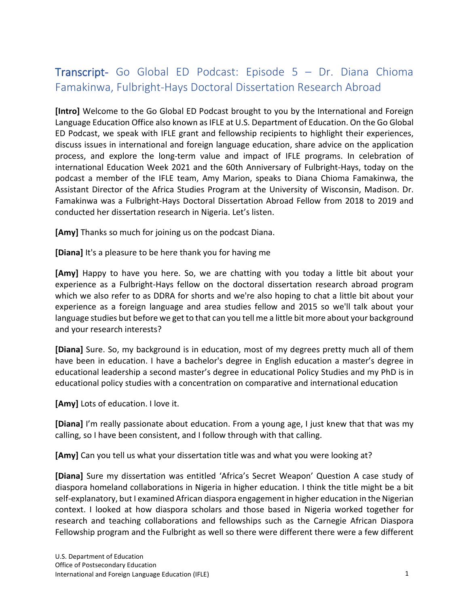## Transcript- Go Global ED Podcast: Episode 5 – Dr. Diana Chioma Famakinwa, Fulbright-Hays Doctoral Dissertation Research Abroad

**[Intro]** Welcome to the Go Global ED Podcast brought to you by the International and Foreign Language Education Office also known as IFLE at U.S. Department of Education. On the Go Global ED Podcast, we speak with IFLE grant and fellowship recipients to highlight their experiences, discuss issues in international and foreign language education, share advice on the application process, and explore the long-term value and impact of IFLE programs. In celebration of international Education Week 2021 and the 60th Anniversary of Fulbright-Hays, today on the podcast a member of the IFLE team, Amy Marion, speaks to Diana Chioma Famakinwa, the Assistant Director of the Africa Studies Program at the University of Wisconsin, Madison. Dr. Famakinwa was a Fulbright-Hays Doctoral Dissertation Abroad Fellow from 2018 to 2019 and conducted her dissertation research in Nigeria. Let's listen.

**[Amy]** Thanks so much for joining us on the podcast Diana.

**[Diana]** It's a pleasure to be here thank you for having me

**[Amy]** Happy to have you here. So, we are chatting with you today a little bit about your experience as a Fulbright-Hays fellow on the doctoral dissertation research abroad program which we also refer to as DDRA for shorts and we're also hoping to chat a little bit about your experience as a foreign language and area studies fellow and 2015 so we'll talk about your language studies but before we get to that can you tell me a little bit more about your background and your research interests?

**[Diana]** Sure. So, my background is in education, most of my degrees pretty much all of them have been in education. I have a bachelor's degree in English education a master's degree in educational leadership a second master's degree in educational Policy Studies and my PhD is in educational policy studies with a concentration on comparative and international education

**[Amy]** Lots of education. I love it.

**[Diana]** I'm really passionate about education. From a young age, I just knew that that was my calling, so I have been consistent, and I follow through with that calling.

**[Amy]** Can you tell us what your dissertation title was and what you were looking at?

**[Diana]** Sure my dissertation was entitled 'Africa's Secret Weapon' Question A case study of diaspora homeland collaborations in Nigeria in higher education. I think the title might be a bit self-explanatory, but I examined African diaspora engagement in higher education in the Nigerian context. I looked at how diaspora scholars and those based in Nigeria worked together for research and teaching collaborations and fellowships such as the Carnegie African Diaspora Fellowship program and the Fulbright as well so there were different there were a few different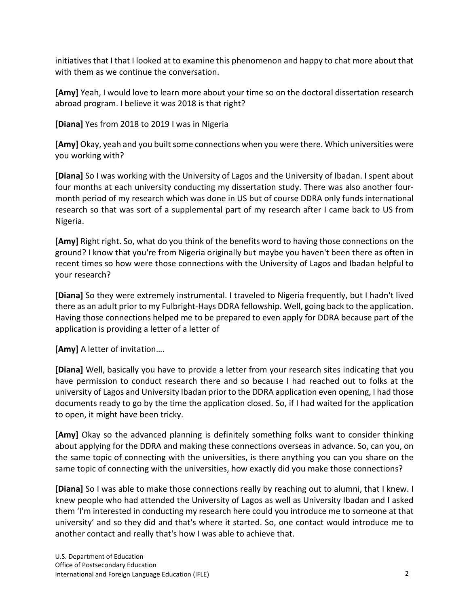initiatives that I that I looked at to examine this phenomenon and happy to chat more about that with them as we continue the conversation.

**[Amy]** Yeah, I would love to learn more about your time so on the doctoral dissertation research abroad program. I believe it was 2018 is that right?

**[Diana]** Yes from 2018 to 2019 I was in Nigeria

**[Amy]** Okay, yeah and you built some connections when you were there. Which universities were you working with?

**[Diana]** So I was working with the University of Lagos and the University of Ibadan. I spent about four months at each university conducting my dissertation study. There was also another fourmonth period of my research which was done in US but of course DDRA only funds international research so that was sort of a supplemental part of my research after I came back to US from Nigeria.

**[Amy]** Right right. So, what do you think of the benefits word to having those connections on the ground? I know that you're from Nigeria originally but maybe you haven't been there as often in recent times so how were those connections with the University of Lagos and Ibadan helpful to your research?

**[Diana]** So they were extremely instrumental. I traveled to Nigeria frequently, but I hadn't lived there as an adult prior to my Fulbright-Hays DDRA fellowship. Well, going back to the application. Having those connections helped me to be prepared to even apply for DDRA because part of the application is providing a letter of a letter of

**[Amy]** A letter of invitation….

**[Diana]** Well, basically you have to provide a letter from your research sites indicating that you have permission to conduct research there and so because I had reached out to folks at the university of Lagos and University Ibadan prior to the DDRA application even opening, I had those documents ready to go by the time the application closed. So, if I had waited for the application to open, it might have been tricky.

**[Amy]** Okay so the advanced planning is definitely something folks want to consider thinking about applying for the DDRA and making these connections overseas in advance. So, can you, on the same topic of connecting with the universities, is there anything you can you share on the same topic of connecting with the universities, how exactly did you make those connections?

**[Diana]** So I was able to make those connections really by reaching out to alumni, that I knew. I knew people who had attended the University of Lagos as well as University Ibadan and I asked them 'I'm interested in conducting my research here could you introduce me to someone at that university' and so they did and that's where it started. So, one contact would introduce me to another contact and really that's how I was able to achieve that.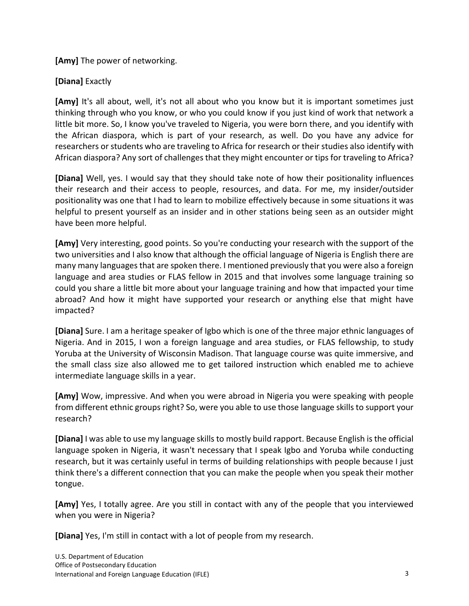**[Amy]** The power of networking.

## **[Diana]** Exactly

**[Amy]** It's all about, well, it's not all about who you know but it is important sometimes just thinking through who you know, or who you could know if you just kind of work that network a little bit more. So, I know you've traveled to Nigeria, you were born there, and you identify with the African diaspora, which is part of your research, as well. Do you have any advice for researchers or students who are traveling to Africa for research or their studies also identify with African diaspora? Any sort of challenges that they might encounter or tips for traveling to Africa?

**[Diana]** Well, yes. I would say that they should take note of how their positionality influences their research and their access to people, resources, and data. For me, my insider/outsider positionality was one that I had to learn to mobilize effectively because in some situations it was helpful to present yourself as an insider and in other stations being seen as an outsider might have been more helpful.

**[Amy]** Very interesting, good points. So you're conducting your research with the support of the two universities and I also know that although the official language of Nigeria is English there are many many languages that are spoken there. I mentioned previously that you were also a foreign language and area studies or FLAS fellow in 2015 and that involves some language training so could you share a little bit more about your language training and how that impacted your time abroad? And how it might have supported your research or anything else that might have impacted?

**[Diana]** Sure. I am a heritage speaker of Igbo which is one of the three major ethnic languages of Nigeria. And in 2015, I won a foreign language and area studies, or FLAS fellowship, to study Yoruba at the University of Wisconsin Madison. That language course was quite immersive, and the small class size also allowed me to get tailored instruction which enabled me to achieve intermediate language skills in a year.

**[Amy]** Wow, impressive. And when you were abroad in Nigeria you were speaking with people from different ethnic groups right? So, were you able to use those language skills to support your research?

**[Diana]** I was able to use my language skills to mostly build rapport. Because English is the official language spoken in Nigeria, it wasn't necessary that I speak Igbo and Yoruba while conducting research, but it was certainly useful in terms of building relationships with people because I just think there's a different connection that you can make the people when you speak their mother tongue.

**[Amy]** Yes, I totally agree. Are you still in contact with any of the people that you interviewed when you were in Nigeria?

**[Diana]** Yes, I'm still in contact with a lot of people from my research.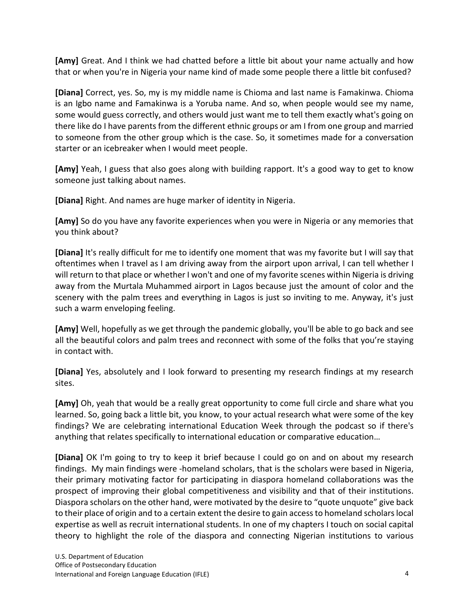**[Amy]** Great. And I think we had chatted before a little bit about your name actually and how that or when you're in Nigeria your name kind of made some people there a little bit confused?

**[Diana]** Correct, yes. So, my is my middle name is Chioma and last name is Famakinwa. Chioma is an Igbo name and Famakinwa is a Yoruba name. And so, when people would see my name, some would guess correctly, and others would just want me to tell them exactly what's going on there like do I have parents from the different ethnic groups or am I from one group and married to someone from the other group which is the case. So, it sometimes made for a conversation starter or an icebreaker when I would meet people.

**[Amy]** Yeah, I guess that also goes along with building rapport. It's a good way to get to know someone just talking about names.

**[Diana]** Right. And names are huge marker of identity in Nigeria.

**[Amy]** So do you have any favorite experiences when you were in Nigeria or any memories that you think about?

**[Diana]** It's really difficult for me to identify one moment that was my favorite but I will say that oftentimes when I travel as I am driving away from the airport upon arrival, I can tell whether I will return to that place or whether I won't and one of my favorite scenes within Nigeria is driving away from the Murtala Muhammed airport in Lagos because just the amount of color and the scenery with the palm trees and everything in Lagos is just so inviting to me. Anyway, it's just such a warm enveloping feeling.

**[Amy]** Well, hopefully as we get through the pandemic globally, you'll be able to go back and see all the beautiful colors and palm trees and reconnect with some of the folks that you're staying in contact with.

**[Diana]** Yes, absolutely and I look forward to presenting my research findings at my research sites.

**[Amy]** Oh, yeah that would be a really great opportunity to come full circle and share what you learned. So, going back a little bit, you know, to your actual research what were some of the key findings? We are celebrating international Education Week through the podcast so if there's anything that relates specifically to international education or comparative education…

**[Diana]** OK I'm going to try to keep it brief because I could go on and on about my research findings. My main findings were -homeland scholars, that is the scholars were based in Nigeria, their primary motivating factor for participating in diaspora homeland collaborations was the prospect of improving their global competitiveness and visibility and that of their institutions. Diaspora scholars on the other hand, were motivated by the desire to "quote unquote" give back to their place of origin and to a certain extent the desire to gain access to homeland scholars local expertise as well as recruit international students. In one of my chapters I touch on social capital theory to highlight the role of the diaspora and connecting Nigerian institutions to various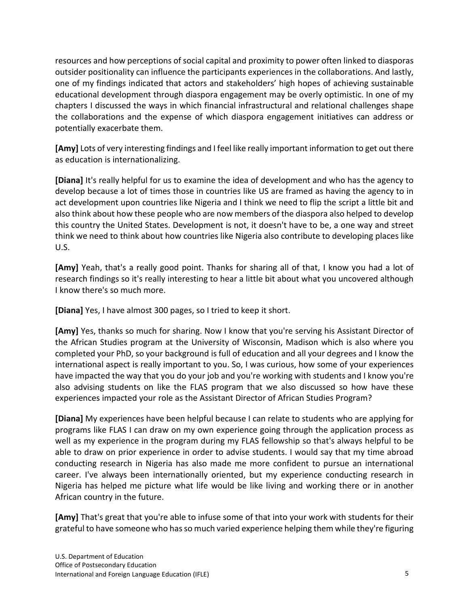resources and how perceptions of social capital and proximity to power often linked to diasporas outsider positionality can influence the participants experiences in the collaborations. And lastly, one of my findings indicated that actors and stakeholders' high hopes of achieving sustainable educational development through diaspora engagement may be overly optimistic. In one of my chapters I discussed the ways in which financial infrastructural and relational challenges shape the collaborations and the expense of which diaspora engagement initiatives can address or potentially exacerbate them.

**[Amy]** Lots of very interesting findings and I feel like really important information to get out there as education is internationalizing.

**[Diana]** It's really helpful for us to examine the idea of development and who has the agency to develop because a lot of times those in countries like US are framed as having the agency to in act development upon countries like Nigeria and I think we need to flip the script a little bit and also think about how these people who are now members of the diaspora also helped to develop this country the United States. Development is not, it doesn't have to be, a one way and street think we need to think about how countries like Nigeria also contribute to developing places like U.S.

**[Amy]** Yeah, that's a really good point. Thanks for sharing all of that, I know you had a lot of research findings so it's really interesting to hear a little bit about what you uncovered although I know there's so much more.

**[Diana]** Yes, I have almost 300 pages, so I tried to keep it short.

**[Amy]** Yes, thanks so much for sharing. Now I know that you're serving his Assistant Director of the African Studies program at the University of Wisconsin, Madison which is also where you completed your PhD, so your background is full of education and all your degrees and I know the international aspect is really important to you. So, I was curious, how some of your experiences have impacted the way that you do your job and you're working with students and I know you're also advising students on like the FLAS program that we also discussed so how have these experiences impacted your role as the Assistant Director of African Studies Program?

**[Diana]** My experiences have been helpful because I can relate to students who are applying for programs like FLAS I can draw on my own experience going through the application process as well as my experience in the program during my FLAS fellowship so that's always helpful to be able to draw on prior experience in order to advise students. I would say that my time abroad conducting research in Nigeria has also made me more confident to pursue an international career. I've always been internationally oriented, but my experience conducting research in Nigeria has helped me picture what life would be like living and working there or in another African country in the future.

**[Amy]** That's great that you're able to infuse some of that into your work with students for their grateful to have someone who has so much varied experience helping them while they're figuring